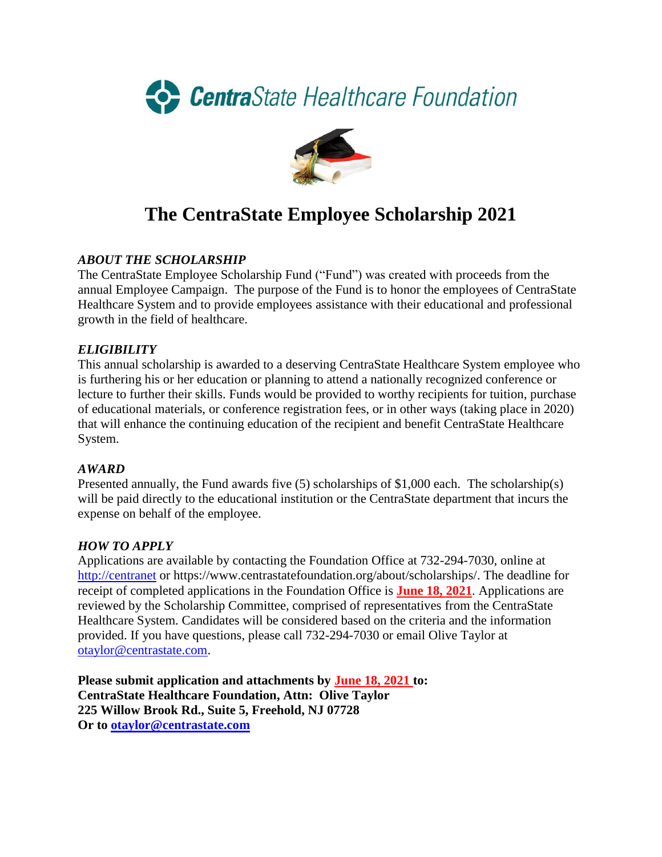



# **The CentraState Employee Scholarship 2021**

### *ABOUT THE SCHOLARSHIP*

The CentraState Employee Scholarship Fund ("Fund") was created with proceeds from the annual Employee Campaign. The purpose of the Fund is to honor the employees of CentraState Healthcare System and to provide employees assistance with their educational and professional growth in the field of healthcare.

#### *ELIGIBILITY*

This annual scholarship is awarded to a deserving CentraState Healthcare System employee who is furthering his or her education or planning to attend a nationally recognized conference or lecture to further their skills. Funds would be provided to worthy recipients for tuition, purchase of educational materials, or conference registration fees, or in other ways (taking place in 2020) that will enhance the continuing education of the recipient and benefit CentraState Healthcare System.

#### *AWARD*

Presented annually, the Fund awards five (5) scholarships of \$1,000 each. The scholarship(s) will be paid directly to the educational institution or the CentraState department that incurs the expense on behalf of the employee.

#### *HOW TO APPLY*

Applications are available by contacting the Foundation Office at 732-294-7030, online at [http://centranet](http://centranet/) or https://www.centrastatefoundation.org/about/scholarships/. The deadline for receipt of completed applications in the Foundation Office is **June 18, 2021**. Applications are reviewed by the Scholarship Committee, comprised of representatives from the CentraState Healthcare System. Candidates will be considered based on the criteria and the information provided. If you have questions, please call 732-294-7030 or email Olive Taylor at [otaylor@centrastate.com.](mailto:otaylor@centrastate.com)

**Please submit application and attachments by June 18, 2021 to: CentraState Healthcare Foundation, Attn: Olive Taylor 225 Willow Brook Rd., Suite 5, Freehold, NJ 07728 Or to [otaylor@centrastate.com](mailto:otaylor@centrastate.com)**